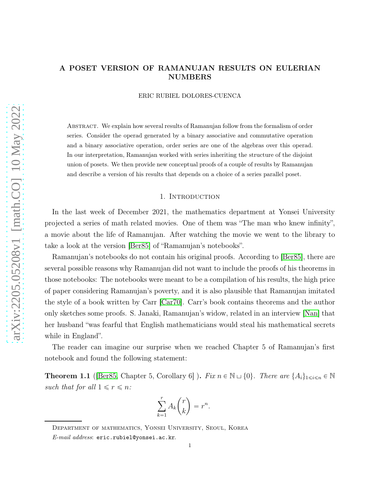# A POSET VERSION OF RAMANUJAN RESULTS ON EULERIAN NUMBERS

ERIC RUBIEL DOLORES-CUENCA

Abstract. We explain how several results of Ramanujan follow from the formalism of order series. Consider the operad generated by a binary associative and commutative operation and a binary associative operation, order series are one of the algebras over this operad. In our interpretation, Ramanujan worked with series inheriting the structure of the disjoint union of posets. We then provide new conceptual proofs of a couple of results by Ramanujan and describe a version of his results that depends on a choice of a series parallel poset.

#### 1. INTRODUCTION

In the last week of December 2021, the mathematics department at Yonsei University projected a series of math related movies. One of them was "The man who knew infinity", a movie about the life of Ramanujan. After watching the movie we went to the library to take a look at the version [\[Ber85\]](#page-10-0) of "Ramanujan's notebooks".

Ramanujan's notebooks do not contain his original proofs. According to [\[Ber85\]](#page-10-0), there are several possible reasons why Ramanujan did not want to include the proofs of his theorems in those notebooks: The notebooks were meant to be a compilation of his results, the high price of paper considering Ramanujan's poverty, and it is also plausible that Ramanujan imitated the style of a book written by Carr [\[Car70\]](#page-10-1). Carr's book contains theorems and the author only sketches some proofs. S. Janaki, Ramanujan's widow, related in an interview [\[Nan\]](#page-11-0) that her husband "was fearful that English mathematicians would steal his mathematical secrets while in England".

The reader can imagine our surprise when we reached Chapter 5 of Ramanujan's first notebook and found the following statement:

**Theorem 1.1** ([\[Ber85,](#page-10-0) Chapter 5, Corollary 6]). Fix  $n \in \mathbb{N} \cup \{0\}$ . There are  $\{A_i\}_{1 \leq i \leq n} \in \mathbb{N}$ such that for all  $1 \leq r \leq n$ :

$$
\sum_{k=1}^r A_k \binom{r}{k} = r^n.
$$

Department of mathematics, Yonsei University, Seoul, Korea

E-mail address: eric.rubiel@yonsei.ac.kr.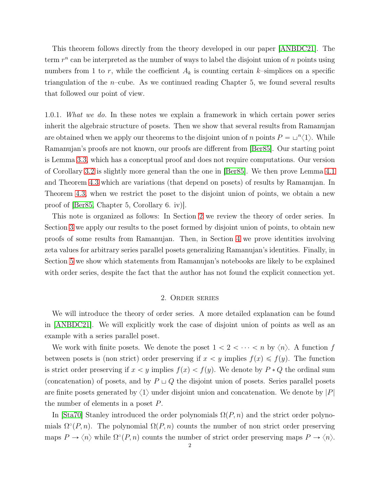This theorem follows directly from the theory developed in our paper [\[ANBDC21\]](#page-10-2). The term  $r^n$  can be interpreted as the number of ways to label the disjoint union of n points using numbers from 1 to r, while the coefficient  $A_k$  is counting certain k–simplices on a specific triangulation of the  $n$ –cube. As we continued reading Chapter 5, we found several results that followed our point of view.

1.0.1. What we do. In these notes we explain a framework in which certain power series inherit the algebraic structure of posets. Then we show that several results from Ramanujan are obtained when we apply our theorems to the disjoint union of n points  $P = \bigcup^{n} \langle 1 \rangle$ . While Ramanujan's proofs are not known, our proofs are different from [\[Ber85\]](#page-10-0). Our starting point is Lemma [3.3,](#page-7-0) which has a conceptual proof and does not require computations. Our version of Corollary [3.2](#page-6-0) is slightly more general than the one in [\[Ber85\]](#page-10-0). We then prove Lemma [4.1](#page-8-0) and Theorem [4.3](#page-9-0) which are variations (that depend on posets) of results by Ramanujan. In Theorem [4.3,](#page-9-0) when we restrict the poset to the disjoint union of points, we obtain a new proof of [\[Ber85,](#page-10-0) Chapter 5, Corollary 6. iv)].

This note is organized as follows: In Section [2](#page-1-0) we review the theory of order series. In Section [3](#page-6-1) we apply our results to the poset formed by disjoint union of points, to obtain new proofs of some results from Ramanujan. Then, in Section [4](#page-8-1) we prove identities involving zeta values for arbitrary series parallel posets generalizing Ramanujan's identities. Finally, in Section [5](#page-10-3) we show which statements from Ramanujan's notebooks are likely to be explained with order series, despite the fact that the author has not found the explicit connection yet.

### 2. Order series

<span id="page-1-0"></span>We will introduce the theory of order series. A more detailed explanation can be found in [\[ANBDC21\]](#page-10-2). We will explicitly work the case of disjoint union of points as well as an example with a series parallel poset.

We work with finite posets. We denote the poset  $1 < 2 < \cdots < n$  by  $\langle n \rangle$ . A function f between posets is (non strict) order preserving if  $x < y$  implies  $f(x) \leq f(y)$ . The function is strict order preserving if  $x < y$  implies  $f(x) < f(y)$ . We denote by  $P * Q$  the ordinal sum (concatenation) of posets, and by  $P \sqcup Q$  the disjoint union of posets. Series parallel posets are finite posets generated by  $\langle 1 \rangle$  under disjoint union and concatenation. We denote by  $|P|$ the number of elements in a poset P.

In [\[Sta70\]](#page-11-1) Stanley introduced the order polynomials  $\Omega(P, n)$  and the strict order polynomials  $\Omega^{\circ}(P, n)$ . The polynomial  $\Omega(P, n)$  counts the number of non strict order preserving maps  $P \to \langle n \rangle$  while  $\Omega^{\circ}(P, n)$  counts the number of strict order preserving maps  $P \to \langle n \rangle$ .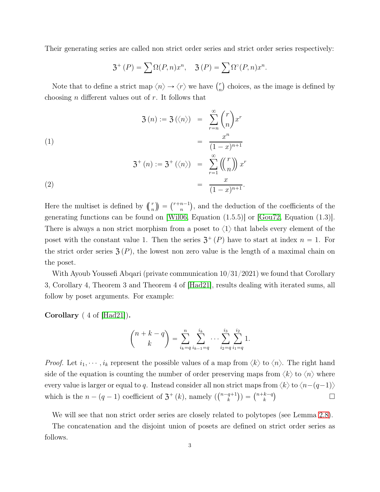Their generating series are called non strict order series and strict order series respectively:

<span id="page-2-0"></span>
$$
\mathfrak{Z}^+(P) = \sum \Omega(P,n)x^n, \quad \mathfrak{Z}(P) = \sum \Omega^{\circ}(P,n)x^n.
$$

Note that to define a strict map  $\langle n \rangle \rightarrow \langle r \rangle$  we have  $\binom{r}{n}$  $\binom{r}{n}$  choices, as the image is defined by choosing *n* different values out of  $r$ . It follows that

(1)  
\n
$$
\mathfrak{Z}(n) := \mathfrak{Z}(\langle n \rangle) = \sum_{r=n}^{\infty} {r \choose n} x^r
$$
\n
$$
= \frac{x^n}{(1-x)^{n+1}}
$$
\n
$$
\mathfrak{Z}^+(n) := \mathfrak{Z}^+(\langle n \rangle) = \sum_{r=1}^{\infty} {r \choose n} x^r
$$
\n
$$
= \frac{x}{(1-x)^{n+1}}.
$$

Here the multiset is defined by  $\binom{r}{n} = \binom{r+n-1}{n}$  $\binom{n-1}{n}$ , and the deduction of the coefficients of the generating functions can be found on [\[Wil06,](#page-11-2) Equation  $(1.5.5)$ ] or  $|Gou72$ , Equation  $(1.3)$ ]. There is always a non strict morphism from a poset to  $\langle 1 \rangle$  that labels every element of the poset with the constant value 1. Then the series  $\mathfrak{Z}^+(P)$  have to start at index  $n = 1$ . For the strict order series  $\mathfrak{Z}(P)$ , the lowest non zero value is the length of a maximal chain on the poset.

With Ayoub Youssefi Abqari (private communication 10/31/2021) we found that Corollary 3, Corollary 4, Theorem 3 and Theorem 4 of [\[Had21\]](#page-11-4), results dealing with iterated sums, all follow by poset arguments. For example:

Corollary ( 4 of [\[Had21\]](#page-11-4)).

$$
\binom{n+k-q}{k} = \sum_{i_k=q}^{n} \sum_{i_{k-1}=q}^{i_k} \cdots \sum_{i_2=q}^{i_3} \sum_{i_1=q}^{i_2} 1.
$$

*Proof.* Let  $i_1, \dots, i_k$  represent the possible values of a map from  $\langle k \rangle$  to  $\langle n \rangle$ . The right hand side of the equation is counting the number of order preserving maps from  $\langle k \rangle$  to  $\langle n \rangle$  where every value is larger or equal to q. Instead consider all non strict maps from  $\langle k \rangle$  to  $\langle n-(q-1) \rangle$ which is the  $n - (q - 1)$  coefficient of  $\mathfrak{Z}^+(k)$ , namely  $\binom{n-q+1}{k}$  $\binom{q+1}{k}$  =  $\binom{n+k-q}{k}$  $\binom{k-q}{k}$  $\Box$ 

We will see that non strict order series are closely related to polytopes (see Lemma [2.8\)](#page-5-0).

The concatenation and the disjoint union of posets are defined on strict order series as follows.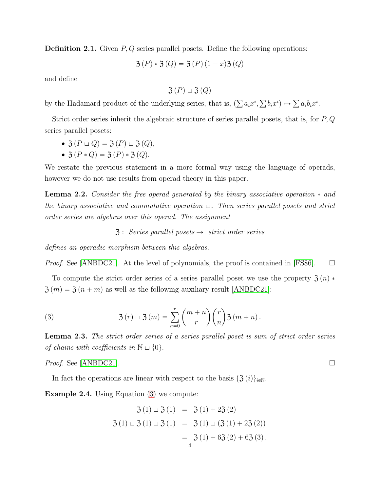**Definition 2.1.** Given  $P, Q$  series parallel posets. Define the following operations:

$$
3(P) * 3(Q) = 3(P)(1 - x)3(Q)
$$

and define

$$
\mathfrak{Z}(P) \sqcup \mathfrak{Z}(Q)
$$

by the Hadamard product of the underlying series, that is,  $(\sum a_i x^i, \sum b_i x^i) \mapsto \sum a_i b_i x^i$ .

Strict order series inherit the algebraic structure of series parallel posets, that is, for P, Q series parallel posets:

$$
\bullet \; \mathfrak{Z}(P \sqcup Q) = \mathfrak{Z}(P) \sqcup \mathfrak{Z}(Q),
$$

•  $\mathfrak{Z}(P * Q) = \mathfrak{Z}(P) * \mathfrak{Z}(Q)$ .

We restate the previous statement in a more formal way using the language of operads, however we do not use results from operad theory in this paper.

**Lemma 2.2.** Consider the free operad generated by the binary associative operation  $*$  and the binary associative and commutative operation  $\Box$ . Then series parallel posets and strict order series are algebras over this operad. The assignment

 $\mathfrak{Z}$ : Series parallel posets  $\rightarrow$  strict order series

defines an operadic morphism between this algebras.

*Proof.* See [\[ANBDC21\]](#page-10-2). At the level of polynomials, the proof is contained in [\[FS86\]](#page-10-4).  $\Box$ 

To compute the strict order series of a series parallel poset we use the property  $\mathfrak{Z}(n)$  \*  $\mathfrak{Z}(m) = \mathfrak{Z}(n + m)$  as well as the following auxiliary result [\[ANBDC21\]](#page-10-2):

<span id="page-3-0"></span>(3) 
$$
3(r) \sqcup 3(m) = \sum_{n=0}^{r} {m+n \choose r} {r \choose n} 3(m+n).
$$

<span id="page-3-2"></span>Lemma 2.3. The strict order series of a series parallel poset is sum of strict order series of chains with coefficients in  $\mathbb{N} \sqcup \{0\}.$ 

*Proof.* See [\[ANBDC21\]](#page-10-2).

In fact the operations are linear with respect to the basis  $\{\mathfrak{Z} (i)\}_{i \in \mathbb{N}}$ .

<span id="page-3-1"></span>Example 2.4. Using Equation [\(3\)](#page-3-0) we compute:

$$
3 (1) \sqcup 3 (1) = 3 (1) + 23 (2)
$$
  

$$
3 (1) \sqcup 3 (1) \sqcup 3 (1) = 3 (1) \sqcup (3 (1) + 23 (2))
$$
  

$$
= 3 (1) + 63 (2) + 63 (3).
$$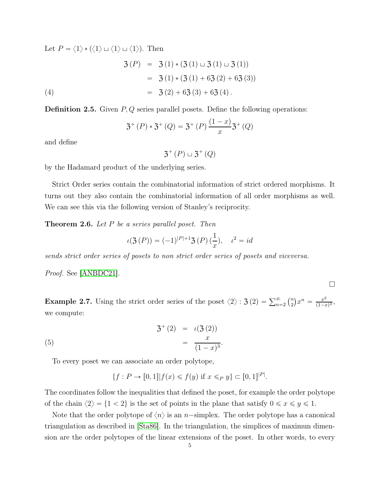Let  $P = \langle 1 \rangle * \langle \langle 1 \rangle \sqcup \langle 1 \rangle \sqcup \langle 1 \rangle$ . Then

(4)  
\n
$$
\begin{array}{rcl}\n3 (P) & = & 3 (1) * (3 (1) \sqcup 3 (1) \sqcup 3 (1)) \\
& = & 3 (1) * (3 (1) + 63 (2) + 63 (3)) \\
& = & 3 (2) + 63 (3) + 63 (4)\n\end{array}
$$

**Definition 2.5.** Given  $P, Q$  series parallel posets. Define the following operations:

$$
3^{+}(P) * 3^{+}(Q) = 3^{+}(P) \frac{(1-x)}{x} 3^{+}(Q)
$$

and define

 $3^+ (P) \sqcup 3^+ (Q)$ 

by the Hadamard product of the underlying series.

Strict Order series contain the combinatorial information of strict ordered morphisms. It turns out they also contain the combinatorial information of all order morphisms as well. We can see this via the following version of Stanley's reciprocity.

<span id="page-4-0"></span>**Theorem 2.6.** Let  $P$  be a series parallel poset. Then

$$
\iota(\mathfrak{Z}\,(P)) = (-1)^{|P|+1} \mathfrak{Z}\,(P) \, (\frac{1}{x}), \quad \iota^2 = id
$$

sends strict order series of posets to non strict order series of posets and viceversa.

Proof. See [\[ANBDC21\]](#page-10-2).

**Example 2.7.** Using the strict order series of the poset  $\langle 2 \rangle$ :  $\mathfrak{Z}(2) = \sum_{n=2}^{\infty} {n \choose 2} x^n = \frac{x^2}{(1-x)^2}$  $\frac{x^2}{(1-x)^3}$ we compute:

 $\Box$ 

(5) 
$$
3^{+}(2) = \iota(3(2)) = \frac{x}{(1-x)^{3}}.
$$

To every poset we can associate an order polytope,

$$
\{f: P \to [0,1]| f(x) \leq f(y) \text{ if } x \leq_P y\} \subset [0,1]^{|P|}.
$$

The coordinates follow the inequalities that defined the poset, for example the order polytope of the chain  $\langle 2 \rangle = \{1 < 2\}$  is the set of points in the plane that satisfy  $0 \le x \le y \le 1$ .

Note that the order polytope of  $\langle n \rangle$  is an *n*-simplex. The order polytope has a canonical triangulation as described in [\[Sta86\]](#page-11-5). In the triangulation, the simplices of maximun dimension are the order polytopes of the linear extensions of the poset. In other words, to every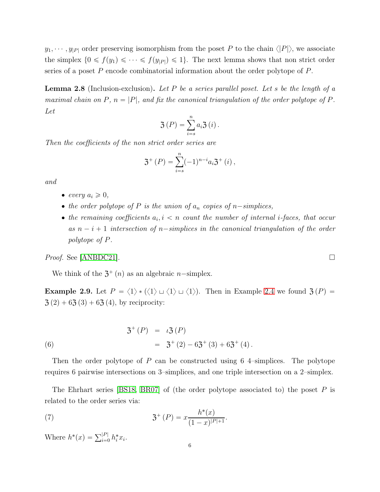$y_1, \dots, y_{|P|}$  order preserving isomorphism from the poset P to the chain  $\langle |P| \rangle$ , we associate the simplex  $\{0 \leq f(y_1) \leq \cdots \leq f(y_{|P|}) \leq 1\}$ . The next lemma shows that non strict order series of a poset  $P$  encode combinatorial information about the order polytope of  $P$ .

<span id="page-5-0"></span>**Lemma 2.8** (Inclusion-exclusion). Let P be a series parallel poset. Let s be the length of a maximal chain on P,  $n = |P|$ , and fix the canonical triangulation of the order polytope of P. Let

$$
\mathfrak{Z}\left(P\right) = \sum_{i=s}^{n} a_i \mathfrak{Z}\left(i\right).
$$

Then the coefficients of the non strict order series are

$$
\mathfrak{Z}^+(P) = \sum_{i=s}^n (-1)^{n-i} a_i \mathfrak{Z}^+(i) ,
$$

and

- $\bullet$  every  $a_i \geqslant 0$ ,
- the order polytope of P is the union of  $a_n$  copies of n-simplices,
- the remaining coefficients  $a_i, i \leq n$  count the number of internal *i*-faces, that occur as  $n - i + 1$  intersection of n-simplices in the canonical triangulation of the order polytope of P.

*Proof.* See [\[ANBDC21\]](#page-10-2).

We think of the  $3^+(n)$  as an algebraic *n*-simplex.

**Example 2.9.** Let  $P = \langle 1 \rangle * \langle \langle 1 \rangle \sqcup \langle 1 \rangle \sqcup \langle 1 \rangle$ . Then in Example [2.4](#page-3-1) we found  $\mathfrak{Z}(P) =$  $3(2) + 63(3) + 63(4)$ , by reciprocity:

(6) 
$$
3^{+}(P) = \iota 3(P) = 3^{+}(2) - 63^{+}(3) + 63^{+}(4).
$$

Then the order polytope of P can be constructed using 6 4–simplices. The polytope requires 6 pairwise intersections on 3–simplices, and one triple intersection on a 2–simplex.

The Ehrhart series [\[BS18,](#page-10-5) [BR07\]](#page-10-6) of (the order polytope associated to) the poset  $P$  is related to the order series via:

<span id="page-5-1"></span>(7) 
$$
3^{+}(P) = x \frac{h^{*}(x)}{(1-x)^{|P|+1}}.
$$

Where  $h^*(x) = \sum_{i=0}^{|P|} h_i^* x_i$ .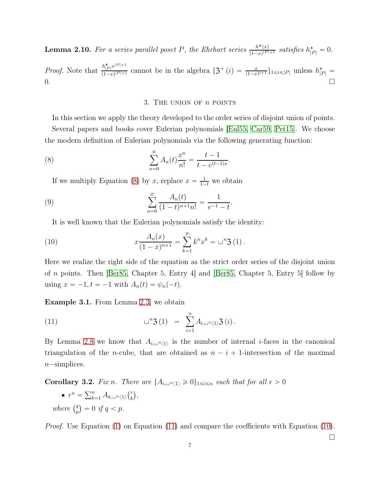**Lemma 2.10.** For a series parallel poset P, the Ehrhart series  $\frac{h^*(x)}{(1-x)^{|P|}}$  $\frac{h^*(x)}{(1-x)^{|P|+1}}$  satisfies  $h^*_{|P|} = 0$ .

<span id="page-6-1"></span>*Proof.* Note that  $\frac{h_{|P|}^* x^{|P|+1}}{(1-x)^{|P|+1}}$  $\frac{n_{|P|}x^{n+1}}{(1-x)^{|P|+1}}$  cannot be in the algebra  $\{\mathfrak{Z}^+(i) = \frac{x}{(1-x)^{i+1}}\}_{1 \leq i \leq |P|}$  unless  $h_{|P|}^* =$  $0.$ 

## 3. THE UNION OF  $n$  points

In this section we apply the theory developed to the order series of disjoint union of points.

Several papers and books cover Eulerian polynomials [\[Eul55,](#page-10-7) [Car59,](#page-10-8) [Pet15\]](#page-11-6). We choose the modern definition of Eulerian polynomials via the following generating function:

<span id="page-6-2"></span>(8) 
$$
\sum_{n=0}^{\infty} A_n(t) \frac{x^n}{n!} = \frac{t-1}{t - e^{(t-1)x}}.
$$

If we multiply Equation [\(8\)](#page-6-2) by x, replace  $x = \frac{1}{1-t}$  we obtain

(9) 
$$
\sum_{n=0}^{\infty} \frac{A_n(t)}{(1-t)^{n+1}n!} = \frac{1}{e^{-1}-t}.
$$

It is well known that the Eulerian polynomials satisfy the identity:

<span id="page-6-4"></span>(10) 
$$
x \frac{A_n(x)}{(1-x)^{n+1}} = \sum_{k=1}^{\infty} k^n x^k = u^n \mathfrak{Z}(1).
$$

Here we realize the right side of the equation as the strict order series of the disjoint union of n points. Then [\[Ber85,](#page-10-0) Chapter 5, Entry 4] and [\[Ber85,](#page-10-0) Chapter 5, Entry 5] follow by using  $x = -1, t = -1$  with  $A_n(t) = \psi_n(-t)$ .

Example 3.1. From Lemma [2.3,](#page-3-2) we obtain

<span id="page-6-3"></span>(11) 
$$
\Box^{n} \mathfrak{Z} (1) = \sum_{i=1}^{n} A_{i, \Box^{n} \langle 1 \rangle} \mathfrak{Z} (i).
$$

By Lemma [2.8](#page-5-0) we know that  $A_{i,\perp^n\langle 1\rangle}$  is the number of internal *i*-faces in the canonical triangulation of the *n*-cube, that are obtained as  $n - i + 1$ -intersection of the maximal  $n$ -simplices.

<span id="page-6-0"></span>**Corollary 3.2.** Fix n. There are  $\{A_{i,\square^n\langle 1\rangle}\geq 0\}_{1\leq i\leq n}$  such that for all  $r > 0$ 

•  $r^n = \sum_{k=1}^n A_{k,\square^n\langle 1 \rangle} \binom{r}{k}$  $_{k}^{r}$ , where  $\binom{q}{n}$  $\binom{q}{p} = 0 \text{ if } q < p.$ 

Proof. Use Equation [\(1\)](#page-2-0) on Equation [\(11\)](#page-6-3) and compare the coefficients with Equation [\(10\)](#page-6-4).

 $\Box$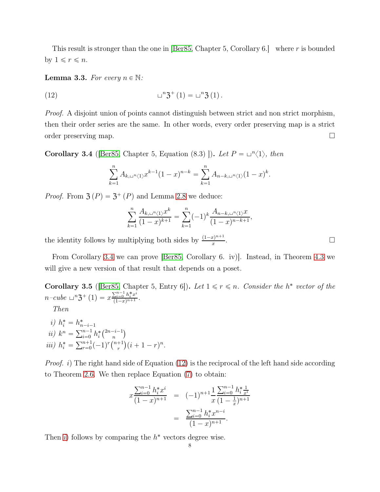This result is stronger than the one in [\[Ber85,](#page-10-0) Chapter 5, Corollary 6.] where r is bounded by  $1 \leq r \leq n$ .

<span id="page-7-0"></span>**Lemma 3.3.** For every  $n \in \mathbb{N}$ :

<span id="page-7-2"></span>(12) 
$$
\Box^{n} \mathfrak{Z}^{+} (1) = \Box^{n} \mathfrak{Z} (1).
$$

Proof. A disjoint union of points cannot distinguish between strict and non strict morphism, then their order series are the same. In other words, every order preserving map is a strict order preserving map.

<span id="page-7-1"></span>**Corollary 3.4** (Ber85, Chapter 5, Equation (8.3) ]). Let  $P = \sqcup^{n} \langle 1 \rangle$ , then

$$
\sum_{k=1}^{n} A_{k,\sqcup^{n} \langle 1 \rangle} x^{k-1} (1-x)^{n-k} = \sum_{k=1}^{n} A_{n-k,\sqcup^{n} \langle 1 \rangle} (1-x)^{k}.
$$

*Proof.* From  $\mathfrak{Z}(P) = \mathfrak{Z}^+(P)$  and Lemma [2.8](#page-5-0) we deduce:

$$
\sum_{k=1}^{n} \frac{A_{k,\sqcup^{n}\langle 1 \rangle} x^k}{(1-x)^{k+1}} = \sum_{k=1}^{n} (-1)^k \frac{A_{n-k,\sqcup^{n}\langle 1 \rangle} x}{(1-x)^{n-k+1}},
$$

the identity follows by multiplying both sides by  $\frac{(1-x)^{n+1}}{x}$ x

From Corollary [3.4](#page-7-1) we can prove [\[Ber85,](#page-10-0) Corollary 6. iv)]. Instead, in Theorem [4.3](#page-9-0) we will give a new version of that result that depends on a poset.

**Corollary 3.5** (Ber85, Chapter 5, Entry 6)). Let  $1 \le r \le n$ . Consider the h<sup>\*</sup> vector of the  $n$ -cube  $\Box^n \mathfrak{Z}^+ (1) = x \frac{\sum_{i=0}^{n-1} h_i^* x^i}{(1-x)^{n+1}}$  $\frac{y_{i=0} n_i x}{(1-x)^{n+1}}$ .

<span id="page-7-3"></span>Then

<span id="page-7-5"></span><span id="page-7-4"></span>*i)* 
$$
h_i^* = h_{n-i-1}^*
$$
  
\n*ii)*  $k^n = \sum_{i=0}^{n-1} h_i^* \binom{2n-i-1}{n}$   
\n*iii)*  $h_i^* = \sum_{r=0}^{n+1} (-1)^r \binom{n+1}{r} (i+1-r)^n$ .

*Proof.* i) The right hand side of Equation [\(12\)](#page-7-2) is the reciprocal of the left hand side according to Theorem [2.6.](#page-4-0) We then replace Equation [\(7\)](#page-5-1) to obtain:

$$
x \frac{\sum_{i=0}^{n-1} h_i^* x^i}{(1-x)^{n+1}} = (-1)^{n+1} \frac{1}{x} \frac{\sum_{i=0}^{n-1} h_i^* \frac{1}{x^i}}{(1-\frac{1}{x})^{n+1}}
$$

$$
= \frac{\sum_{i=0}^{n-1} h_i^* x^{n-i}}{(1-x)^{n+1}}.
$$

Then [i](#page-7-3)) follows by comparing the  $h^*$  vectors degree wise.

. В последните последните под на приема на селото на селото на селото на селото на селото на селото на селото<br>В селото на селото на селото на селото на селото на селото на селото на селото на селото на селото на селото н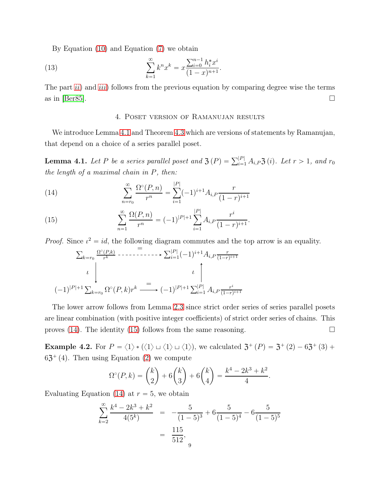By Equation [\(10\)](#page-6-4) and Equation [\(7\)](#page-5-1) we obtain

(13) 
$$
\sum_{k=1}^{\infty} k^n x^k = x \frac{\sum_{i=0}^{n-1} h_i^* x^i}{(1-x)^{n+1}}.
$$

<span id="page-8-1"></span>The part  $ii)$  $ii)$  and  $iii)$  $iii)$  follows from the previous equation by comparing degree wise the terms as in [\[Ber85\]](#page-10-0).  $\Box$ 

### <span id="page-8-2"></span>4. Poset version of Ramanujan results

We introduce Lemma [4.1](#page-8-0) and Theorem [4.3](#page-9-0) which are versions of statements by Ramanujan, that depend on a choice of a series parallel poset.

<span id="page-8-0"></span>**Lemma 4.1.** Let P be a series parallel poset and  $\mathfrak{Z}(P) = \sum_{i=1}^{|P|} A_{i,P} \mathfrak{Z}(i)$ . Let  $r > 1$ , and  $r_0$ the length of a maximal chain in P, then:

(14) 
$$
\sum_{n=r_0}^{\infty} \frac{\Omega^{\circ}(P,n)}{r^n} = \sum_{i=1}^{|P|} (-1)^{i+1} A_{i,P} \frac{r}{(1-r)^{i+1}}
$$

(15) 
$$
\sum_{n=1}^{\infty} \frac{\Omega(P,n)}{r^n} = (-1)^{|P|+1} \sum_{i=1}^{|P|} A_{i,P} \frac{r^i}{(1-r)^{i+1}}.
$$

*Proof.* Since  $\iota^2 = id$ , the following diagram commutes and the top arrow is an equality.

$$
\sum_{k=r_0} \frac{\Omega^{\circ}(P,k)}{r^k} \cdots \cdots \cdots \cdots \cdots \sum_{i=1}^{|P|} (-1)^{i+1} A_{i,P} \frac{r}{(1-r)^{i+1}}
$$
\n
$$
\downarrow \qquad \qquad \downarrow \qquad \qquad \downarrow
$$
\n
$$
(-1)^{|P|+1} \sum_{k=r_0} \Omega^{\circ}(P,k) r^k \longrightarrow (-1)^{|P|+1} \sum_{i=1}^{|P|} A_{i,P} \frac{r^i}{(1-r)^{i+1}}
$$

The lower arrow follows from Lemma [2.3](#page-3-2) since strict order series of series parallel posets are linear combination (with positive integer coefficients) of strict order series of chains. This proves [\(14\)](#page-8-2). The identity [\(15\)](#page-8-2) follows from the same reasoning.  $\Box$ 

**Example 4.2.** For  $P = \langle 1 \rangle * \langle \langle 1 \rangle \sqcup \langle 1 \rangle \sqcup \langle 1 \rangle$ , we calculated  $\mathfrak{Z}^+(P) = \mathfrak{Z}^+(P) - 6\mathfrak{Z}^+(P)$ .  $63^+(4)$ . Then using Equation [\(2\)](#page-2-0) we compute

$$
\Omega^{\circ}(P,k) = {k \choose 2} + 6{k \choose 3} + 6{k \choose 4} = \frac{k^4 - 2k^3 + k^2}{4}.
$$

Evaluating Equation [\(14\)](#page-8-2) at  $r = 5$ , we obtain

$$
\sum_{k=2}^{\infty} \frac{k^4 - 2k^3 + k^2}{4(5^k)} = -\frac{5}{(1-5)^3} + 6\frac{5}{(1-5)^4} - 6\frac{5}{(1-5)^5}
$$

$$
= \frac{115}{512},
$$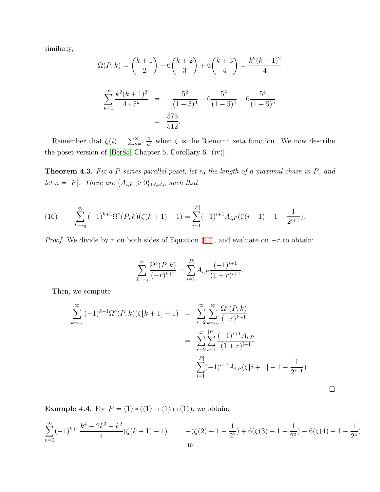similarly,

$$
\Omega(P,k) = {k+1 \choose 2} - 6{k+2 \choose 3} + 6{k+3 \choose 4} = \frac{k^2(k+1)^2}{4}
$$

$$
\sum_{k=1}^{\infty} \frac{k^2(k+1)^2}{4*5^k} = -\frac{5^2}{(1-5)^3} - 6\frac{5^3}{(1-5)^4} - 6\frac{5^4}{(1-5)^5}
$$

$$
= \frac{575}{512}.
$$

Remember that  $\zeta(i) = \sum_{n=1}^{\infty}$  $\frac{1}{n^i}$  when  $\zeta$  is the Riemann zeta function. We now describe the poset version of [\[Ber85,](#page-10-0) Chapter 5, Corollary 6. (iv)].

<span id="page-9-0"></span>**Theorem 4.3.** Fix a P series parallel poset, let  $r_0$  the length of a maximal chain in P, and let  $n = |P|$ . There are  $\{A_{i,P} \geq 0\}_{1 \leq i \leq n}$  such that

(16) 
$$
\sum_{k=r_0}^{\infty} (-1)^{k+1} \Omega^{\circ}(P,k) (\zeta(k+1)-1) = \sum_{i=1}^{|P|} (-1)^{i+1} A_{i,P}(\zeta(i+1)-1-\frac{1}{2^{i+1}}).
$$

*Proof.* We divide by r on both sides of Equation [\(14\)](#page-8-2), and evaluate on  $-r$  to obtain:

$$
\sum_{k=r_0}^{\infty} \frac{\Omega^{\circ}(P,k)}{(-r)^{k+1}} = \sum_{i=1}^{|P|} A_{i,P} \frac{(-1)^{i+1}}{(1+r)^{i+1}}.
$$

Then, we compute

$$
\sum_{k=r_0}^{\infty} (-1)^{k+1} \Omega^{\circ}(P,k) (\zeta[k+1]-1) = \sum_{r=2}^{\infty} \sum_{k=r_0}^{\infty} \frac{\Omega^{\circ}(P,k)}{(-r)^{k+1}}
$$
  
= 
$$
\sum_{r=2}^{\infty} \sum_{i=1}^{|P|} \frac{(-1)^{i+1} A_{i,P}}{(1+r)^{i+1}}
$$
  
= 
$$
\sum_{i=1}^{|P|} (-1)^{i+1} A_{i,P} (\zeta[i+1]-1-\frac{1}{2^{i+1}}).
$$

**Example 4.4.** For  $P = \langle 1 \rangle * \langle \langle 1 \rangle \sqcup \langle 1 \rangle \sqcup \langle 1 \rangle$ , we obtain:

$$
\sum_{n=2}^{\infty} (-1)^{k+1} \frac{k^4 - 2k^3 + k^2}{4} (\zeta(k+1) - 1) = -(\zeta(2) - 1 - \frac{1}{2^2}) + 6(\zeta(3) - 1 - \frac{1}{2^3}) - 6(\zeta(4) - 1 - \frac{1}{2^4}).
$$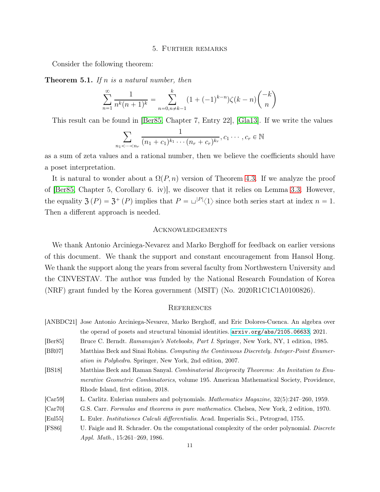### 5. Further remarks

<span id="page-10-3"></span>Consider the following theorem:

**Theorem 5.1.** If n is a natural number, then

$$
\sum_{n=1}^{\infty} \frac{1}{n^k (n+1)^k} = \sum_{n=0, n \neq k-1}^{k} (1 + (-1)^{k-n}) \zeta(k-n) \binom{-k}{n}
$$

This result can be found in [\[Ber85,](#page-10-0) Chapter 7, Entry 22], [\[Gla13\]](#page-11-7). If we write the values

$$
\sum_{n_1 < \dots < n_r} \frac{1}{(n_1 + c_1)^{k_1} \cdots (n_r + c_r)^{k_r}}, c_1 \cdots, c_r \in \mathbb{N}
$$

as a sum of zeta values and a rational number, then we believe the coefficients should have a poset interpretation.

It is natural to wonder about a  $\Omega(P, n)$  version of Theorem [4.3.](#page-9-0) If we analyze the proof of [\[Ber85,](#page-10-0) Chapter 5, Corollary 6. iv)], we discover that it relies on Lemma [3.3.](#page-7-0) However, the equality  $\mathfrak{Z}(P) = \mathfrak{Z}^+(P)$  implies that  $P = \Box^{|P|} \langle 1 \rangle$  since both series start at index  $n = 1$ . Then a different approach is needed.

### Acknowledgements

We thank Antonio Arciniega-Nevarez and Marko Berghoff for feedback on earlier versions of this document. We thank the support and constant encouragement from Hansol Hong. We thank the support along the years from several faculty from Northwestern University and the CINVESTAV. The author was funded by the National Research Foundation of Korea (NRF) grant funded by the Korea government (MSIT) (No. 2020R1C1C1A0100826).

#### **REFERENCES**

- <span id="page-10-2"></span>[ANBDC21] Jose Antonio Arciniega-Nevarez, Marko Berghoff, and Eric Dolores-Cuenca. An algebra over the operad of posets and structural binomial identities. <arxiv.org/abs/2105.06633>, 2021.
- <span id="page-10-0"></span>[Ber85] Bruce C. Berndt. Ramanujan's Notebooks, Part I. Springer, New York, NY, 1 edition, 1985.
- <span id="page-10-6"></span>[BR07] Matthias Beck and Sinai Robins. Computing the Continuous Discretely. Integer-Point Enumeration in Polyhedra. Springer, New York, 2nd edition, 2007.
- <span id="page-10-5"></span>[BS18] Matthias Beck and Raman Sanyal. Combinatorial Reciprocity Theorems: An Invitation to Enumerative Geometric Combinatorics, volume 195. American Mathematical Society, Providence, Rhode Island, first edition, 2018.
- <span id="page-10-8"></span>[Car59] L. Carlitz. Eulerian numbers and polynomials. Mathematics Magazine, 32(5):247–260, 1959.
- <span id="page-10-1"></span>[Car70] G.S. Carr. Formulas and theorems in pure mathematics. Chelsea, New York, 2 edition, 1970.
- <span id="page-10-7"></span>[Eul55] L. Euler. Institutiones Calculi differentialis. Acad. Imperialis Sci., Petrograd, 1755.
- <span id="page-10-4"></span>[FS86] U. Faigle and R. Schrader. On the computational complexity of the order polynomial. Discrete Appl. Math., 15:261–269, 1986.